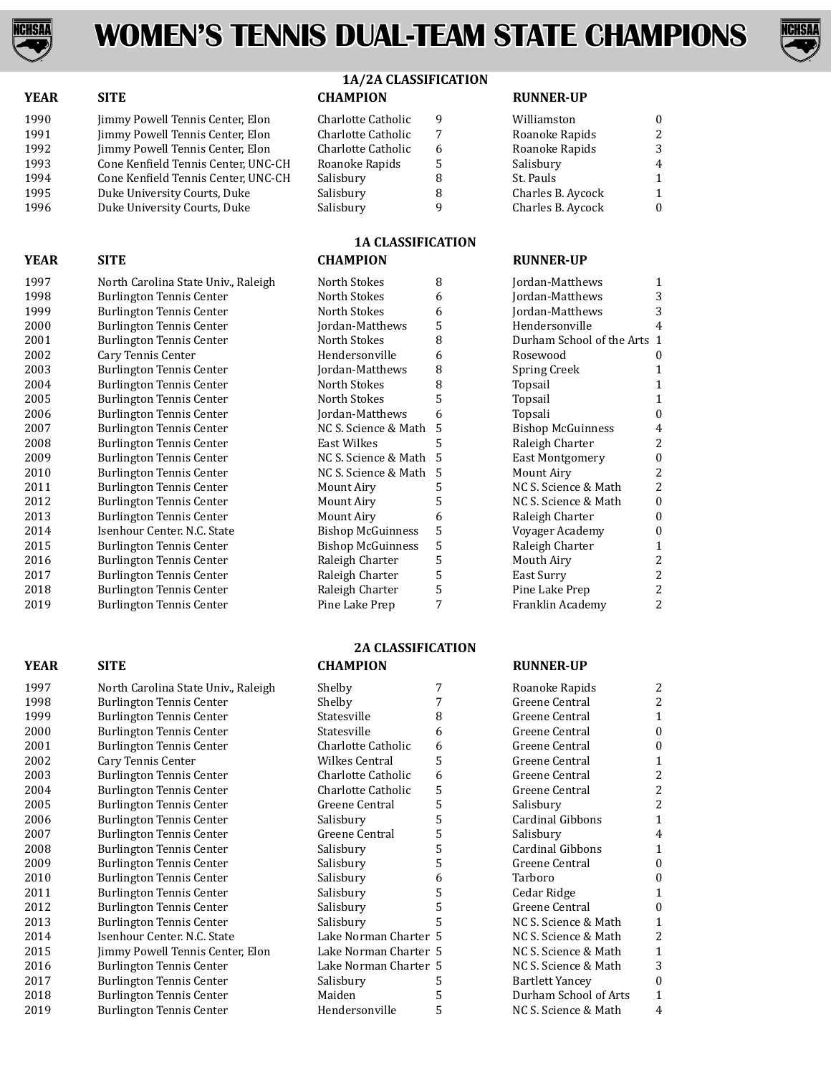



|  |  |  | 1A/2A CLASSIFICATION |
|--|--|--|----------------------|
|--|--|--|----------------------|

| <b>YEAR</b> | <b>SITE</b>                         | <b>CHAMPION</b>    |   | <b>RUNNER-UP</b>  |                |
|-------------|-------------------------------------|--------------------|---|-------------------|----------------|
| 1990        | Jimmy Powell Tennis Center, Elon    | Charlotte Catholic | 9 | Williamston       | $\Omega$       |
| 1991        | Jimmy Powell Tennis Center, Elon    | Charlotte Catholic | 7 | Roanoke Rapids    | 2              |
| 1992        | Jimmy Powell Tennis Center, Elon    | Charlotte Catholic | 6 | Roanoke Rapids    | 3              |
| 1993        | Cone Kenfield Tennis Center, UNC-CH | Roanoke Rapids     | 5 | Salisbury         | $\overline{4}$ |
| 1994        | Cone Kenfield Tennis Center, UNC-CH | Salisbury          | 8 | St. Pauls         |                |
| 1995        | Duke University Courts, Duke        | Salisbury          | 8 | Charles B. Aycock |                |
| 1996        | Duke University Courts, Duke        | Salisbury          | a | Charles B. Aycock | $\Omega$       |

## **1A CLASSIFICATION**

| North Carolina State Univ., Raleigh | North Stokes             | 8 |
|-------------------------------------|--------------------------|---|
| <b>Burlington Tennis Center</b>     | North Stokes             | 6 |
| <b>Burlington Tennis Center</b>     | North Stokes             | 6 |
| Burlington Tennis Center            | Jordan-Matthews          | 5 |
| <b>Burlington Tennis Center</b>     | North Stokes             | 8 |
| Cary Tennis Center                  | Hendersonville           | 6 |
| <b>Burlington Tennis Center</b>     | Jordan-Matthews          | 8 |
| <b>Burlington Tennis Center</b>     | North Stokes             | 8 |
| <b>Burlington Tennis Center</b>     | North Stokes             | 5 |
| Burlington Tennis Center            | Jordan-Matthews          | 6 |
| Burlington Tennis Center            | NC S. Science & Math     | 5 |
| <b>Burlington Tennis Center</b>     | East Wilkes              | 5 |
| <b>Burlington Tennis Center</b>     | NC S. Science & Math     | 5 |
| Burlington Tennis Center            | NC S. Science & Math     | 5 |
| <b>Burlington Tennis Center</b>     | Mount Airy               | 5 |
| Burlington Tennis Center            | Mount Airy               | 5 |
| <b>Burlington Tennis Center</b>     | Mount Airy               | 6 |
| Isenhour Center, N.C. State         | <b>Bishop McGuinness</b> | 5 |
| Burlington Tennis Center            | <b>Bishop McGuinness</b> | 5 |
| Burlington Tennis Center            | Raleigh Charter          | 5 |
| <b>Burlington Tennis Center</b>     | Raleigh Charter          | 5 |
| <b>Burlington Tennis Center</b>     | Raleigh Charter          | 5 |
| <b>Burlington Tennis Center</b>     | Pine Lake Prep           | 7 |

#### **YEAR SITE CHAMPION RUNNER-UP**

| Jordan-Matthews           | 1              |
|---------------------------|----------------|
| Jordan-Matthews           | 3              |
| Jordan-Matthews           | 3              |
| Hendersonville            | 4              |
| Durham School of the Arts | 1              |
| Rosewood                  | $\mathbf{0}$   |
| <b>Spring Creek</b>       | 1              |
| Topsail                   | 1              |
| Topsail                   | 1              |
| Topsali                   | $\theta$       |
| <b>Bishop McGuinness</b>  | 4              |
| Raleigh Charter           | 2              |
| East Montgomery           | 0              |
| Mount Airy                | 2              |
| NC S. Science & Math      | 2              |
| NC S. Science & Math      | 0              |
| Raleigh Charter           | $\overline{0}$ |
| Voyager Academy           | 0              |
| Raleigh Charter           | $\mathbf{1}$   |
| Mouth Airy                | 2              |
| East Surry                | $\overline{c}$ |
| Pine Lake Prep            | $\overline{c}$ |
| Franklin Academy          | 2              |

### **YEAR SITE CHAMPION RUNNER-UP**

| 1997 | North Carolina State Univ., Raleigh |
|------|-------------------------------------|
| 1998 | Burlington Tennis Center            |
| 1999 | Burlington Tennis Center            |
| 2000 | <b>Burlington Tennis Center</b>     |
| 2001 | Burlington Tennis Center            |
| 2002 | Cary Tennis Center                  |
| 2003 | <b>Burlington Tennis Center</b>     |
| 2004 | <b>Burlington Tennis Center</b>     |
| 2005 | <b>Burlington Tennis Center</b>     |
| 2006 | Burlington Tennis Center            |
| 2007 | Burlington Tennis Center            |
| 2008 | <b>Burlington Tennis Center</b>     |
| 2009 | Burlington Tennis Center            |
| 2010 | Burlington Tennis Center            |
| 2011 | <b>Burlington Tennis Center</b>     |
| 2012 | <b>Burlington Tennis Center</b>     |
| 2013 | <b>Burlington Tennis Center</b>     |
| 2014 | Isenhour Center, N.C. State         |
| 2015 | Jimmy Powell Tennis Center, Elon    |
| 2016 | <b>Burlington Tennis Center</b>     |
| 2017 | <b>Burlington Tennis Center</b>     |
| 2018 | Burlington Tennis Center            |
| 2019 | Burlington Tennis Center            |

1997 **North Carolina State Univ., Raleigh North Stokes 8 Jordan**<br>1998 **Matth Stocker Burlington Tennis Center** 

1998 Burlington Tennis Center<br>1999 Burlington Tennis Center 1999 Burlington Tennis Center<br>
2000 Burlington Tennis Center 2000 Burlington Tennis Center<br>2001 Burlington Tennis Center 2001 Burlington Tennis Center<br>2002 Cary Tennis Center 2002 Cary Tennis Center<br>2003 Burlington Tennis C 2003 Burlington Tennis Center<br>2004 Burlington Tennis Center 2004 Burlington Tennis Center<br>2005 Burlington Tennis Center 2005 Burlington Tennis Center<br>2006 Burlington Tennis Center 2006 Burlington Tennis Center<br>2007 Burlington Tennis Center 2007 Burlington Tennis Center<br>2008 Burlington Tennis Center 2008 Burlington Tennis Center<br>2009 Burlington Tennis Center 2009 Burlington Tennis Center<br>
2010 Burlington Tennis Center 2010 Burlington Tennis Center<br>
2011 Burlington Tennis Center 2011 Burlington Tennis Center<br>
2012 Burlington Tennis Center 2012 Burlington Tennis Center<br>
2013 Burlington Tennis Center 2013 Burlington Tennis Center<br>2014 Isenhour Center. N.C. State 2014 Isenhour Center. N.C. State<br>2015 Burlington Tennis Center 2015 Burlington Tennis Center<br>2016 Burlington Tennis Center 2016 Burlington Tennis Center<br>2017 Burlington Tennis Center 2017 Burlington Tennis Center<br>2018 Burlington Tennis Center 2018 Burlington Tennis Center<br>
2019 Burlington Tennis Center

# **2A CLASSIFICATION**

| 1997 | North Carolina State Univ., Raleigh | Shelby                |   | Roanoke Rapids         | 2                |
|------|-------------------------------------|-----------------------|---|------------------------|------------------|
| 1998 | <b>Burlington Tennis Center</b>     | Shelby                |   | Greene Central         | 2                |
| 1999 | Burlington Tennis Center            | Statesville           | 8 | Greene Central         | 1                |
| 2000 | Burlington Tennis Center            | Statesville           | 6 | Greene Central         | $\boldsymbol{0}$ |
| 2001 | <b>Burlington Tennis Center</b>     | Charlotte Catholic    | 6 | Greene Central         | $\Omega$         |
| 2002 | Cary Tennis Center                  | <b>Wilkes Central</b> | 5 | Greene Central         |                  |
| 2003 | <b>Burlington Tennis Center</b>     | Charlotte Catholic    | 6 | Greene Central         | 2                |
| 2004 | <b>Burlington Tennis Center</b>     | Charlotte Catholic    | 5 | Greene Central         | 2                |
| 2005 | Burlington Tennis Center            | Greene Central        | 5 | Salisbury              | 2                |
| 2006 | <b>Burlington Tennis Center</b>     | Salisbury             | 5 | Cardinal Gibbons       | 1                |
| 2007 | <b>Burlington Tennis Center</b>     | Greene Central        | 5 | Salisbury              | 4                |
| 2008 | <b>Burlington Tennis Center</b>     | Salisbury             | 5 | Cardinal Gibbons       | 1                |
| 2009 | Burlington Tennis Center            | Salisbury             | 5 | Greene Central         | $\boldsymbol{0}$ |
| 2010 | Burlington Tennis Center            | Salisbury             | 6 | Tarboro                | 0                |
| 2011 | Burlington Tennis Center            | Salisbury             | 5 | Cedar Ridge            |                  |
| 2012 | <b>Burlington Tennis Center</b>     | Salisbury             | 5 | Greene Central         | $\Omega$         |
| 2013 | Burlington Tennis Center            | Salisbury             |   | NC S. Science & Math   | 1                |
| 2014 | Isenhour Center, N.C. State         | Lake Norman Charter 5 |   | NC S. Science & Math   | 2                |
| 2015 | Jimmy Powell Tennis Center, Elon    | Lake Norman Charter 5 |   | NC S. Science & Math   |                  |
| 2016 | Burlington Tennis Center            | Lake Norman Charter 5 |   | NC S. Science & Math   | 3                |
| 2017 | <b>Burlington Tennis Center</b>     | Salisbury             |   | <b>Bartlett Yancey</b> | 0                |
| 2018 | <b>Burlington Tennis Center</b>     | Maiden                |   | Durham School of Arts  | 1                |
| 2019 | <b>Burlington Tennis Center</b>     | Hendersonville        | 5 | NC S. Science & Math   | 4                |